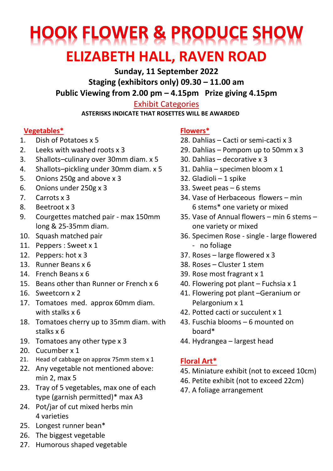# **HOOK FLOWER & PRODUCE SHOW ELIZABETH HALL, RAVEN ROAD**

**Sunday, 11 September 2022 Staging (exhibitors only) 09.30 – 11.00 am Public Viewing from 2.00 pm – 4.15pm Prize giving 4.15pm**

Exhibit Categories

**ASTERISKS INDICATE THAT ROSETTES WILL BE AWARDED**

#### **Vegetables\***

- 1. Dish of Potatoes x 5
- 2. Leeks with washed roots x 3
- 3. Shallots–culinary over 30mm diam. x 5
- 4. Shallots–pickling under 30mm diam. x 5
- 5. Onions 250g and above x 3
- 6. Onions under 250g x 3
- 7. Carrots x 3
- 8. Beetroot x 3
- 9. Courgettes matched pair max 150mm long & 25-35mm diam.
- 10. Squash matched pair
- 11. Peppers : Sweet x 1
- 12. Peppers: hot x 3
- 13. Runner Beans x 6
- 14. French Beans x 6
- 15. Beans other than Runner or French x 6
- 16. Sweetcorn x 2
- 17. Tomatoes med. approx 60mm diam. with stalks x 6
- 18. Tomatoes cherry up to 35mm diam. with stalks x 6
- 19. Tomatoes any other type x 3
- 20. Cucumber x 1
- 21. Head of cabbage on approx 75mm stem x 1
- 22. Any vegetable not mentioned above: min 2, max 5
- 23. Tray of 5 vegetables, max one of each type (garnish permitted)\* max A3
- 24. Pot/jar of cut mixed herbs min 4 varieties
- 25. Longest runner bean\*
- 26. The biggest vegetable

#### 27. Humorous shaped vegetable

#### **Flowers\***

- 28. Dahlias Cacti or semi-cacti x 3
- 29. Dahlias Pompom up to 50mm x 3
- 30. Dahlias decorative x 3
- 31. Dahlia specimen bloom x 1
- 32. Gladioli 1 spike
- 33. Sweet peas 6 stems
- 34. Vase of Herbaceous flowers min 6 stems\* one variety or mixed
- 35. Vase of Annual flowers min 6 stems one variety or mixed
- 36. Specimen Rose single large flowered - no foliage
- 37. Roses large flowered x 3
- 38. Roses Cluster 1 stem
- 39. Rose most fragrant x 1
- 40. Flowering pot plant Fuchsia x 1
- 41. Flowering pot plant –Geranium or Pelargonium x 1
- 42. Potted cacti or succulent x 1
- 43. Fuschia blooms 6 mounted on board\*
- 44. Hydrangea largest head

# **Floral Art\***

- 45. Miniature exhibit (not to exceed 10cm)
- 46. Petite exhibit (not to exceed 22cm)
- 47. A foliage arrangement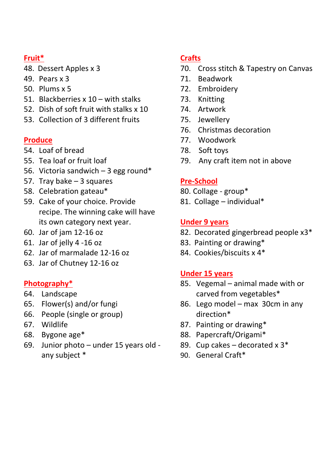#### **Fruit\***

- 48. Dessert Apples x 3
- 49. Pears x 3
- 50. Plums x 5
- 51. Blackberries x 10 with stalks
- 52. Dish of soft fruit with stalks x 10
- 53. Collection of 3 different fruits

#### **Produce**

- 54. Loaf of bread
- 55. Tea loaf or fruit loaf
- 56. Victoria sandwich  $-3$  egg round\*
- 57. Tray bake 3 squares
- 58. Celebration gateau\*
- 59. Cake of your choice. Provide recipe. The winning cake will have its own category next year.
- 60. Jar of jam 12-16 oz
- 61. Jar of jelly 4 -16 oz
- 62. Jar of marmalade 12-16 oz
- 63. Jar of Chutney 12-16 oz

## **Photography\***

- 64. Landscape
- 65. Flower(s) and/or fungi
- 66. People (single or group)
- 67. Wildlife
- 68. Bygone age\*
- 69. Junior photo under 15 years old any subject \*

### **Crafts**

- 70. Cross stitch & Tapestry on Canvas
- 71. Beadwork
- 72. Embroidery
- 73. Knitting
- 74. Artwork
- 75. Jewellery
- 76. Christmas decoration
- 77. Woodwork
- 78. Soft toys
- 79. Any craft item not in above

# **Pre-School**

- 80. Collage group\*
- 81. Collage individual\*

#### **Under 9 years**

- 82. Decorated gingerbread people x3\*
- 83. Painting or drawing\*
- 84. Cookies/biscuits x 4\*

#### **Under 15 years**

- 85. Vegemal animal made with or carved from vegetables\*
- 86. Lego model max 30cm in any direction\*
- 87. Painting or drawing\*
- 88. Papercraft/Origami\*
- 89. Cup cakes decorated  $x 3^*$
- 90. General Craft\*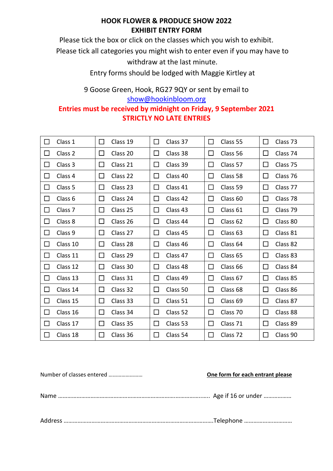#### **HOOK FLOWER & PRODUCE SHOW 2022 EXHIBIT ENTRY FORM**

Please tick the box or click on the classes which you wish to exhibit.

Please tick all categories you might wish to enter even if you may have to

withdraw at the last minute.

Entry forms should be lodged with Maggie Kirtley at

9 Goose Green, Hook, RG27 9QY or sent by email to [show@hookinbloom.org](mailto:diana.whittaker@hookallotments.com)

#### **Entries must be received by midnight on Friday, 9 September 2021 STRICTLY NO LATE ENTRIES**

| $\Box$ | Class 1            | $\Box$<br>Class 19 | □<br>Class 37      | $\Box$<br>Class 55       | $\Box$<br>Class 73 |
|--------|--------------------|--------------------|--------------------|--------------------------|--------------------|
| $\Box$ | Class 2            | Class 20<br>$\Box$ | $\Box$<br>Class 38 | □<br>Class 56            | Class 74<br>□      |
| □      | Class 3            | Class 21<br>$\Box$ | $\Box$<br>Class 39 | □<br>Class 57            | ◻<br>Class 75      |
| $\Box$ | Class 4            | Class 22<br>$\Box$ | $\Box$<br>Class 40 | □<br>Class 58            | Class 76<br>$\Box$ |
| $\Box$ | Class 5            | $\Box$<br>Class 23 | $\Box$<br>Class 41 | □<br>Class 59            | Class 77<br>ш      |
| $\Box$ | Class 6            | ப<br>Class 24      | Class 42<br>ப      | □<br>Class 60            | Class 78<br>ப      |
| $\Box$ | Class <sub>7</sub> | □<br>Class 25      | $\Box$<br>Class 43 | □<br>Class 61            | Class 79<br>ப      |
| □      | Class 8            | $\Box$<br>Class 26 | $\Box$<br>Class 44 | $\Box$<br>Class 62       | Class 80<br>$\Box$ |
| □      | Class 9            | $\Box$<br>Class 27 | Class 45<br>$\Box$ | □<br>Class 63            | Class 81<br>$\Box$ |
| □      | Class 10           | Class 28<br>$\Box$ | Class 46<br>$\Box$ | Class 64<br>□            | Class 82<br>□      |
| □      | Class 11           | $\Box$<br>Class 29 | Class 47<br>$\Box$ | $\Box$<br>Class 65       | □<br>Class 83      |
| □      | Class 12           | $\Box$<br>Class 30 | Class 48<br>$\Box$ | □<br>Class <sub>66</sub> | Class 84<br>$\Box$ |
| □      | Class 13           | □<br>Class 31      | □<br>Class 49      | □<br>Class 67            | Class 85<br>ப      |
| □      | Class 14           | $\Box$<br>Class 32 | $\Box$<br>Class 50 | $\Box$<br>Class 68       | □<br>Class 86      |
| □      | Class 15           | $\Box$<br>Class 33 | □<br>Class 51      | $\Box$<br>Class 69       | □<br>Class 87      |
| □      | Class 16           | $\Box$<br>Class 34 | $\Box$<br>Class 52 | □<br>Class 70            | □<br>Class 88      |
| □      | Class 17           | Class 35<br>$\Box$ | Class 53<br>$\Box$ | $\Box$<br>Class 71       | Class 89<br>□      |
| $\Box$ | Class 18           | $\Box$<br>Class 36 | $\Box$<br>Class 54 | □<br>Class 72            | $\Box$<br>Class 90 |

| One form for each entrant please |
|----------------------------------|
|                                  |
|                                  |